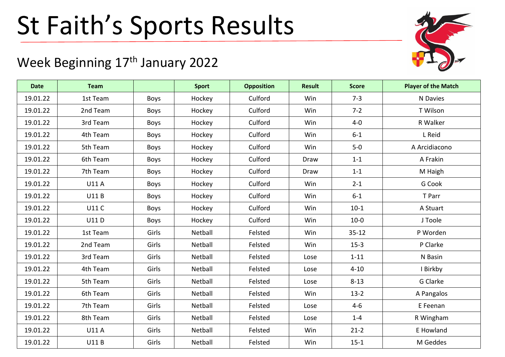## St Faith's Sports Results

## Week Beginning 17<sup>th</sup> January 2022

| <b>Date</b> | <b>Team</b>  |             | <b>Sport</b> | <b>Opposition</b> | <b>Result</b> | <b>Score</b> | <b>Player of the Match</b> |
|-------------|--------------|-------------|--------------|-------------------|---------------|--------------|----------------------------|
| 19.01.22    | 1st Team     | Boys        | Hockey       | Culford           | Win           | $7 - 3$      | N Davies                   |
| 19.01.22    | 2nd Team     | <b>Boys</b> | Hockey       | Culford           | <b>Win</b>    | $7 - 2$      | T Wilson                   |
| 19.01.22    | 3rd Team     | <b>Boys</b> | Hockey       | Culford           | Win           | $4 - 0$      | R Walker                   |
| 19.01.22    | 4th Team     | <b>Boys</b> | Hockey       | Culford           | Win           | $6-1$        | L Reid                     |
| 19.01.22    | 5th Team     | Boys        | Hockey       | Culford           | Win           | $5-0$        | A Arcidiacono              |
| 19.01.22    | 6th Team     | <b>Boys</b> | Hockey       | Culford           | Draw          | $1 - 1$      | A Frakin                   |
| 19.01.22    | 7th Team     | Boys        | Hockey       | Culford           | Draw          | $1 - 1$      | M Haigh                    |
| 19.01.22    | <b>U11 A</b> | Boys        | Hockey       | Culford           | Win           | $2 - 1$      | G Cook                     |
| 19.01.22    | <b>U11B</b>  | <b>Boys</b> | Hockey       | Culford           | Win           | $6-1$        | T Parr                     |
| 19.01.22    | <b>U11 C</b> | <b>Boys</b> | Hockey       | Culford           | Win           | $10-1$       | A Stuart                   |
| 19.01.22    | <b>U11D</b>  | Boys        | Hockey       | Culford           | Win           | $10-0$       | J Toole                    |
| 19.01.22    | 1st Team     | Girls       | Netball      | Felsted           | Win           | $35 - 12$    | P Worden                   |
| 19.01.22    | 2nd Team     | Girls       | Netball      | Felsted           | Win           | $15-3$       | P Clarke                   |
| 19.01.22    | 3rd Team     | Girls       | Netball      | Felsted           | Lose          | $1 - 11$     | N Basin                    |
| 19.01.22    | 4th Team     | Girls       | Netball      | Felsted           | Lose          | $4 - 10$     | I Birkby                   |
| 19.01.22    | 5th Team     | Girls       | Netball      | Felsted           | Lose          | $8 - 13$     | G Clarke                   |
| 19.01.22    | 6th Team     | Girls       | Netball      | Felsted           | Win           | $13-2$       | A Pangalos                 |
| 19.01.22    | 7th Team     | Girls       | Netball      | Felsted           | Lose          | $4 - 6$      | E Feenan                   |
| 19.01.22    | 8th Team     | Girls       | Netball      | Felsted           | Lose          | $1 - 4$      | R Wingham                  |
| 19.01.22    | <b>U11 A</b> | Girls       | Netball      | Felsted           | Win           | $21-2$       | E Howland                  |
| 19.01.22    | <b>U11B</b>  | Girls       | Netball      | Felsted           | Win           | $15 - 1$     | M Geddes                   |